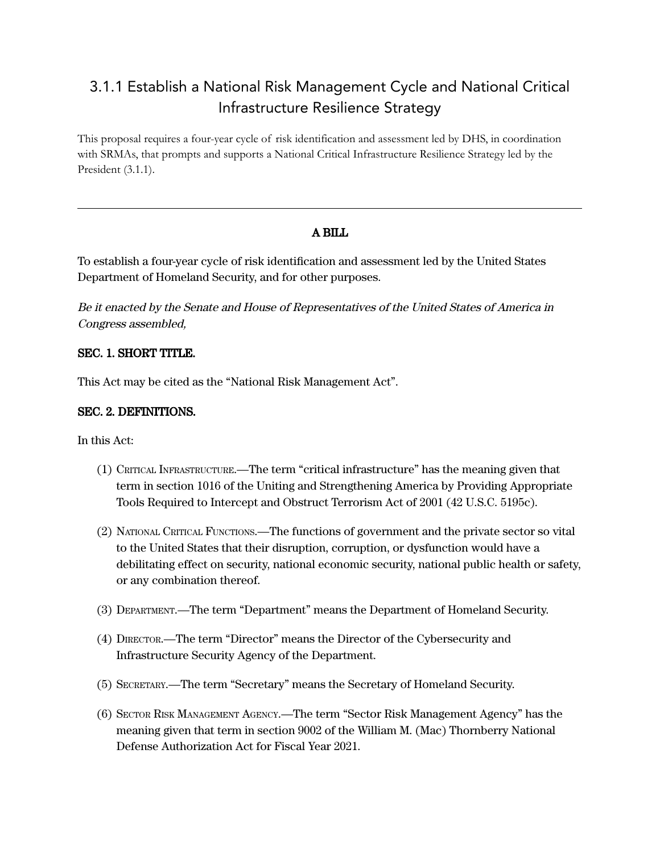# 3.1.1 Establish a National Risk Management Cycle and National Critical Infrastructure Resilience Strategy

This proposal requires a four-year cycle of risk identification and assessment led by DHS, in coordination with SRMAs, that prompts and supports a National Critical Infrastructure Resilience Strategy led by the President (3.1.1).

## A BILL

To establish a four-year cycle of risk identification and assessment led by the United States Department of Homeland Security, and for other purposes.

Be it enacted by the Senate and House of Representatives of the United States of America in Congress assembled,

### SEC. 1. SHORT TITLE.

This Act may be cited as the "National Risk Management Act".

### SEC. 2. DEFINITIONS.

In this Act:

- (1) CRITICAL INFRASTRUCTURE.—The term "critical infrastructure" has the meaning given that term in section 1016 of the Uniting and Strengthening America by Providing Appropriate Tools Required to Intercept and Obstruct Terrorism Act of 2001 (42 U.S.C. 5195c).
- (2) NATIONAL CRITICAL FUNCTIONS.—The functions of government and the private sector so vital to the United States that their disruption, corruption, or dysfunction would have a debilitating effect on security, national economic security, national public health or safety, or any combination thereof.
- (3) DEPARTMENT.—The term "Department" means the Department of Homeland Security.
- (4) DIRECTOR.—The term "Director" means the Director of the Cybersecurity and Infrastructure Security Agency of the Department.
- (5) SECRETARY.—The term "Secretary" means the Secretary of Homeland Security.
- (6) SECTOR RISK MANAGEMENT AGENCY.—The term "Sector Risk Management Agency" has the meaning given that term in section 9002 of the William M. (Mac) Thornberry National Defense Authorization Act for Fiscal Year 2021.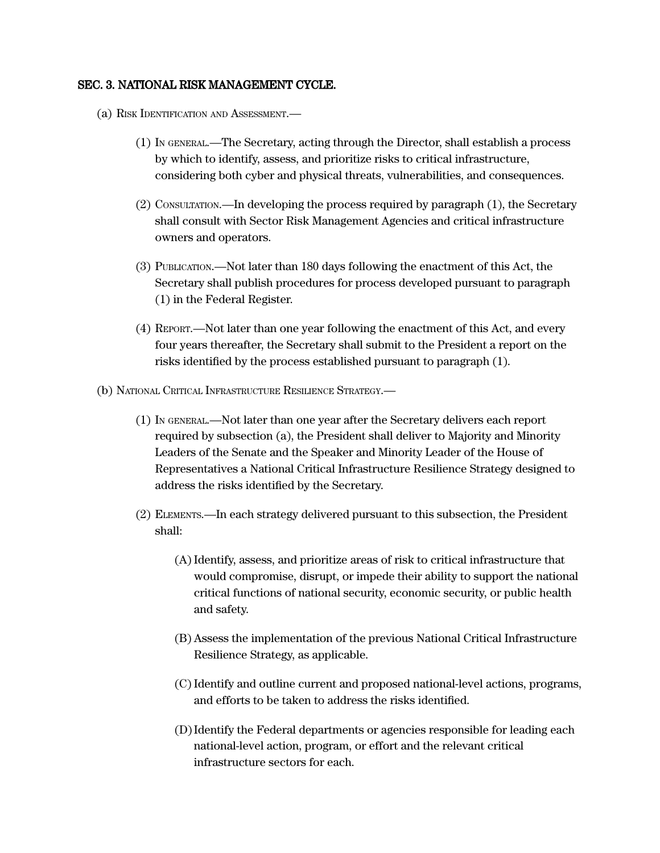#### SEC. 3. NATIONAL RISK MANAGEMENT CYCLE.

- (a) RISK IDENTIFICATION AND ASSESSMENT.—
	- (1) IN GENERAL.—The Secretary, acting through the Director, shall establish a process by which to identify, assess, and prioritize risks to critical infrastructure, considering both cyber and physical threats, vulnerabilities, and consequences.
	- (2) CONSULTATION.—In developing the process required by paragraph (1), the Secretary shall consult with Sector Risk Management Agencies and critical infrastructure owners and operators.
	- (3) PUBLICATION.—Not later than 180 days following the enactment of this Act, the Secretary shall publish procedures for process developed pursuant to paragraph (1) in the Federal Register.
	- (4) REPORT.—Not later than one year following the enactment of this Act, and every four years thereafter, the Secretary shall submit to the President a report on the risks identified by the process established pursuant to paragraph (1).
- (b) NATIONAL CRITICAL INFRASTRUCTURE RESILIENCE STRATEGY.—
	- (1) IN GENERAL.—Not later than one year after the Secretary delivers each report required by subsection (a), the President shall deliver to Majority and Minority Leaders of the Senate and the Speaker and Minority Leader of the House of Representatives a National Critical Infrastructure Resilience Strategy designed to address the risks identified by the Secretary.
	- (2) ELEMENTS.—In each strategy delivered pursuant to this subsection, the President shall:
		- (A)Identify, assess, and prioritize areas of risk to critical infrastructure that would compromise, disrupt, or impede their ability to support the national critical functions of national security, economic security, or public health and safety.
		- (B) Assess the implementation of the previous National Critical Infrastructure Resilience Strategy, as applicable.
		- (C)Identify and outline current and proposed national-level actions, programs, and efforts to be taken to address the risks identified.
		- (D)Identify the Federal departments or agencies responsible for leading each national-level action, program, or effort and the relevant critical infrastructure sectors for each.